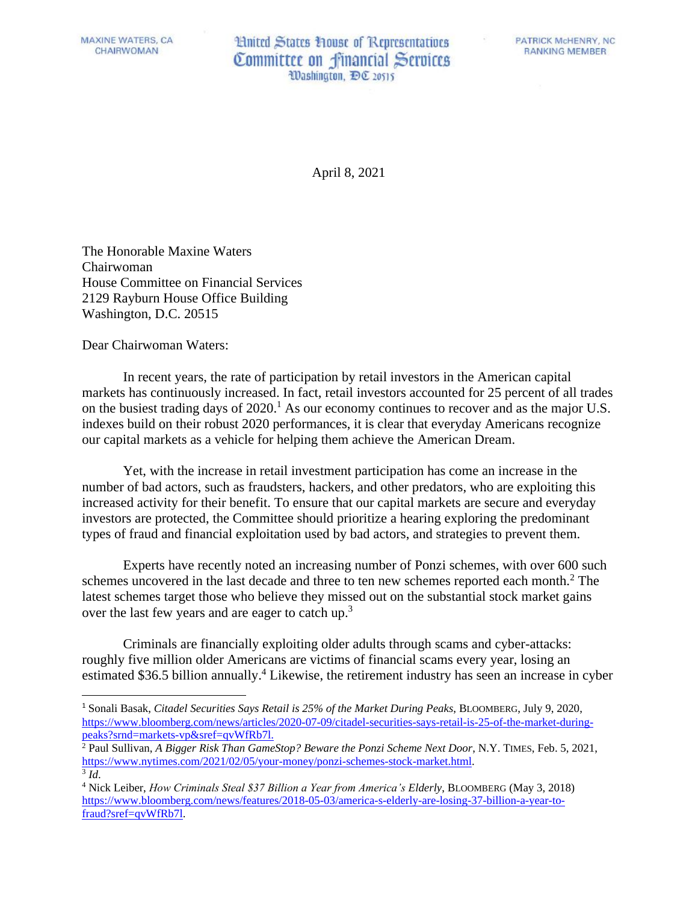MAXINE WATERS, CA CHAIRWOMAN

**Hnited States House of Representatives** Committee on financial Services Washington, DC 20515

**PATRICK McHENRY, NC** RANKING MEMBER

April 8, 2021

The Honorable Maxine Waters Chairwoman House Committee on Financial Services 2129 Rayburn House Office Building Washington, D.C. 20515

Dear Chairwoman Waters:

In recent years, the rate of participation by retail investors in the American capital markets has continuously increased. In fact, retail investors accounted for 25 percent of all trades on the busiest trading days of 2020.<sup>1</sup> As our economy continues to recover and as the major U.S. indexes build on their robust 2020 performances, it is clear that everyday Americans recognize our capital markets as a vehicle for helping them achieve the American Dream.

Yet, with the increase in retail investment participation has come an increase in the number of bad actors, such as fraudsters, hackers, and other predators, who are exploiting this increased activity for their benefit. To ensure that our capital markets are secure and everyday investors are protected, the Committee should prioritize a hearing exploring the predominant types of fraud and financial exploitation used by bad actors, and strategies to prevent them.

Experts have recently noted an increasing number of Ponzi schemes, with over 600 such schemes uncovered in the last decade and three to ten new schemes reported each month.<sup>2</sup> The latest schemes target those who believe they missed out on the substantial stock market gains over the last few years and are eager to catch up.<sup>3</sup>

Criminals are financially exploiting older adults through scams and cyber-attacks: roughly five million older Americans are victims of financial scams every year, losing an estimated \$36.5 billion annually.<sup>4</sup> Likewise, the retirement industry has seen an increase in cyber

<sup>1</sup> Sonali Basak, *Citadel Securities Says Retail is 25% of the Market During Peaks*, BLOOMBERG, July 9, 2020, [https://www.bloomberg.com/news/articles/2020-07-09/citadel-securities-says-retail-is-25-of-the-market-during](https://www.bloomberg.com/news/articles/2020-07-09/citadel-securities-says-retail-is-25-of-the-market-during-peaks?srnd=markets-vp&sref=qvWfRb7l)[peaks?srnd=markets-vp&sref=qvWfRb7l.](https://www.bloomberg.com/news/articles/2020-07-09/citadel-securities-says-retail-is-25-of-the-market-during-peaks?srnd=markets-vp&sref=qvWfRb7l)

<sup>&</sup>lt;sup>2</sup> Paul Sullivan, *A Bigger Risk Than GameStop? Beware the Ponzi Scheme Next Door*, N.Y. TIMES, Feb. 5, 2021, [https://www.nytimes.com/2021/02/05/your-money/ponzi-schemes-stock-market.html.](https://www.nytimes.com/2021/02/05/your-money/ponzi-schemes-stock-market.html) 3 *Id*.

<sup>4</sup> Nick Leiber, *How Criminals Steal \$37 Billion a Year from America's Elderly*, BLOOMBERG (May 3, 2018) [https://www.bloomberg.com/news/features/2018-05-03/america-s-elderly-are-losing-37-billion-a-year-to](https://www.bloomberg.com/news/features/2018-05-03/america-s-elderly-are-losing-37-billion-a-year-to-fraud?sref=qvWfRb7l)[fraud?sref=qvWfRb7l.](https://www.bloomberg.com/news/features/2018-05-03/america-s-elderly-are-losing-37-billion-a-year-to-fraud?sref=qvWfRb7l)